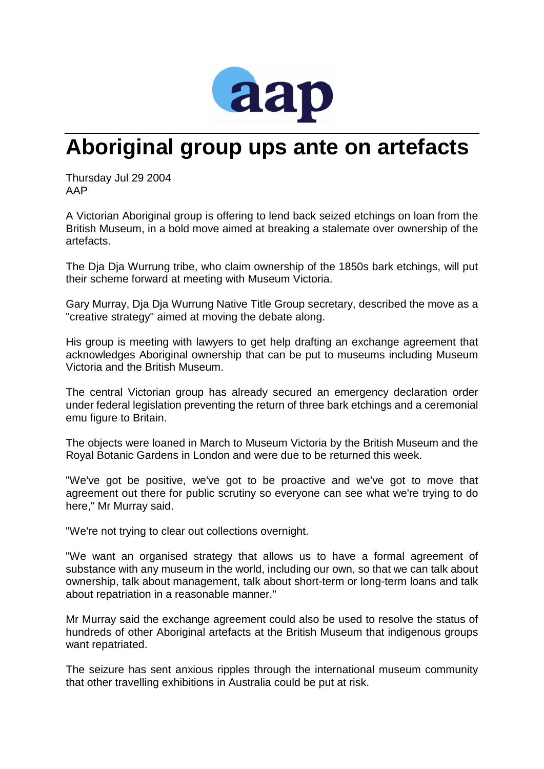

## **Aboriginal group ups ante on artefacts**

Thursday Jul 29 2004 AAP

A Victorian Aboriginal group is offering to lend back seized etchings on loan from the British Museum, in a bold move aimed at breaking a stalemate over ownership of the artefacts.

The Dja Dja Wurrung tribe, who claim ownership of the 1850s bark etchings, will put their scheme forward at meeting with Museum Victoria.

Gary Murray, Dja Dja Wurrung Native Title Group secretary, described the move as a "creative strategy" aimed at moving the debate along.

His group is meeting with lawyers to get help drafting an exchange agreement that acknowledges Aboriginal ownership that can be put to museums including Museum Victoria and the British Museum.

The central Victorian group has already secured an emergency declaration order under federal legislation preventing the return of three bark etchings and a ceremonial emu figure to Britain.

The objects were loaned in March to Museum Victoria by the British Museum and the Royal Botanic Gardens in London and were due to be returned this week.

"We've got be positive, we've got to be proactive and we've got to move that agreement out there for public scrutiny so everyone can see what we're trying to do here," Mr Murray said.

"We're not trying to clear out collections overnight.

"We want an organised strategy that allows us to have a formal agreement of substance with any museum in the world, including our own, so that we can talk about ownership, talk about management, talk about short-term or long-term loans and talk about repatriation in a reasonable manner."

Mr Murray said the exchange agreement could also be used to resolve the status of hundreds of other Aboriginal artefacts at the British Museum that indigenous groups want repatriated.

The seizure has sent anxious ripples through the international museum community that other travelling exhibitions in Australia could be put at risk.